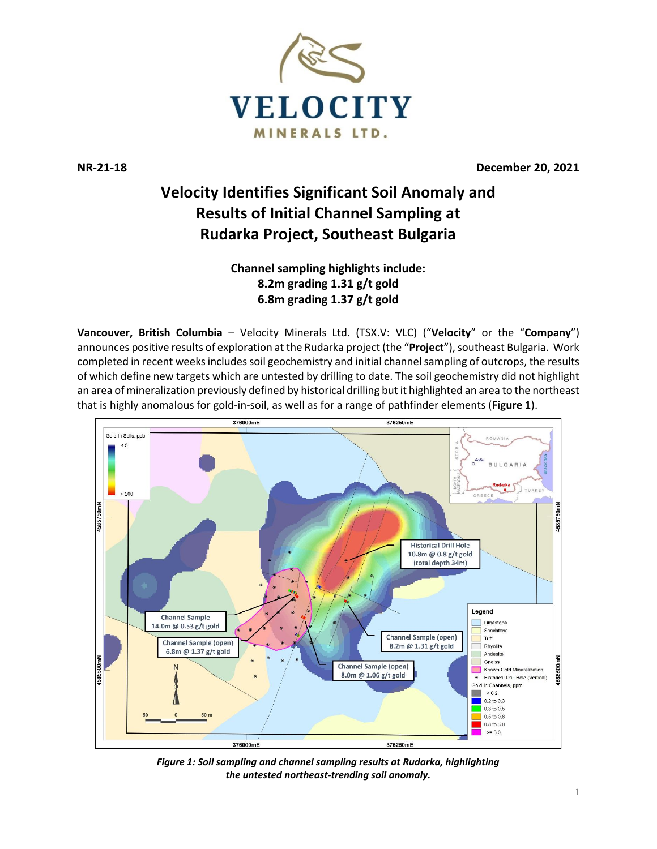

**NR-21-18 December 20, 2021**

# **Velocity Identifies Significant Soil Anomaly and Results of Initial Channel Sampling at Rudarka Project, Southeast Bulgaria**

**Channel sampling highlights include: 8.2m grading 1.31 g/t gold 6.8m grading 1.37 g/t gold**

**Vancouver, British Columbia** – Velocity Minerals Ltd. (TSX.V: VLC) ("**Velocity**" or the "**Company**") announces positive results of exploration at the Rudarka project (the "**Project**"), southeast Bulgaria. Work completed in recent weeks includes soil geochemistry and initial channel sampling of outcrops, the results of which define new targets which are untested by drilling to date. The soil geochemistry did not highlight an area of mineralization previously defined by historical drilling but it highlighted an area to the northeast that is highly anomalous for gold-in-soil, as well as for a range of pathfinder elements (**Figure 1**).



*Figure 1: Soil sampling and channel sampling results at Rudarka, highlighting the untested northeast-trending soil anomaly.*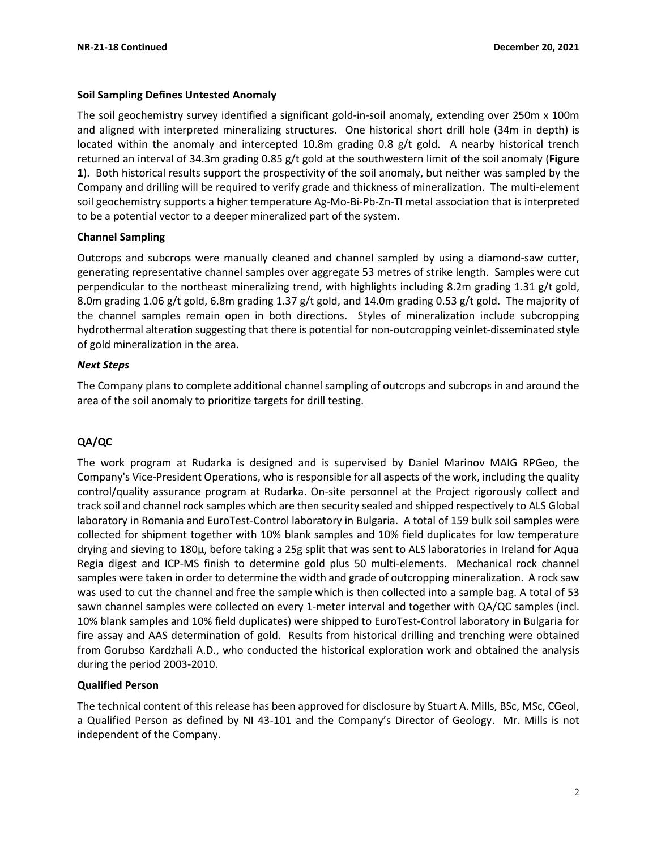## **Soil Sampling Defines Untested Anomaly**

The soil geochemistry survey identified a significant gold-in-soil anomaly, extending over 250m x 100m and aligned with interpreted mineralizing structures. One historical short drill hole (34m in depth) is located within the anomaly and intercepted 10.8m grading 0.8 g/t gold. A nearby historical trench returned an interval of 34.3m grading 0.85 g/t gold at the southwestern limit of the soil anomaly (**Figure 1**). Both historical results support the prospectivity of the soil anomaly, but neither was sampled by the Company and drilling will be required to verify grade and thickness of mineralization. The multi-element soil geochemistry supports a higher temperature Ag-Mo-Bi-Pb-Zn-Tl metal association that is interpreted to be a potential vector to a deeper mineralized part of the system.

#### **Channel Sampling**

Outcrops and subcrops were manually cleaned and channel sampled by using a diamond-saw cutter, generating representative channel samples over aggregate 53 metres of strike length. Samples were cut perpendicular to the northeast mineralizing trend, with highlights including 8.2m grading 1.31 g/t gold, 8.0m grading 1.06 g/t gold, 6.8m grading 1.37 g/t gold, and 14.0m grading 0.53 g/t gold. The majority of the channel samples remain open in both directions. Styles of mineralization include subcropping hydrothermal alteration suggesting that there is potential for non-outcropping veinlet-disseminated style of gold mineralization in the area.

## *Next Steps*

The Company plans to complete additional channel sampling of outcrops and subcrops in and around the area of the soil anomaly to prioritize targets for drill testing.

# **QA/QC**

The work program at Rudarka is designed and is supervised by Daniel Marinov MAIG RPGeo, the Company's Vice-President Operations, who is responsible for all aspects of the work, including the quality control/quality assurance program at Rudarka. On-site personnel at the Project rigorously collect and track soil and channel rock samples which are then security sealed and shipped respectively to ALS Global laboratory in Romania and EuroTest-Control laboratory in Bulgaria. A total of 159 bulk soil samples were collected for shipment together with 10% blank samples and 10% field duplicates for low temperature drying and sieving to 180µ, before taking a 25g split that was sent to ALS laboratories in Ireland for Aqua Regia digest and ICP-MS finish to determine gold plus 50 multi-elements. Mechanical rock channel samples were taken in order to determine the width and grade of outcropping mineralization. A rock saw was used to cut the channel and free the sample which is then collected into a sample bag. A total of 53 sawn channel samples were collected on every 1-meter interval and together with QA/QC samples (incl. 10% blank samples and 10% field duplicates) were shipped to EuroTest-Control laboratory in Bulgaria for fire assay and AAS determination of gold. Results from historical drilling and trenching were obtained from Gorubso Kardzhali A.D., who conducted the historical exploration work and obtained the analysis during the period 2003-2010.

# **Qualified Person**

The technical content of this release has been approved for disclosure by Stuart A. Mills, BSc, MSc, CGeol, a Qualified Person as defined by NI 43-101 and the Company's Director of Geology. Mr. Mills is not independent of the Company.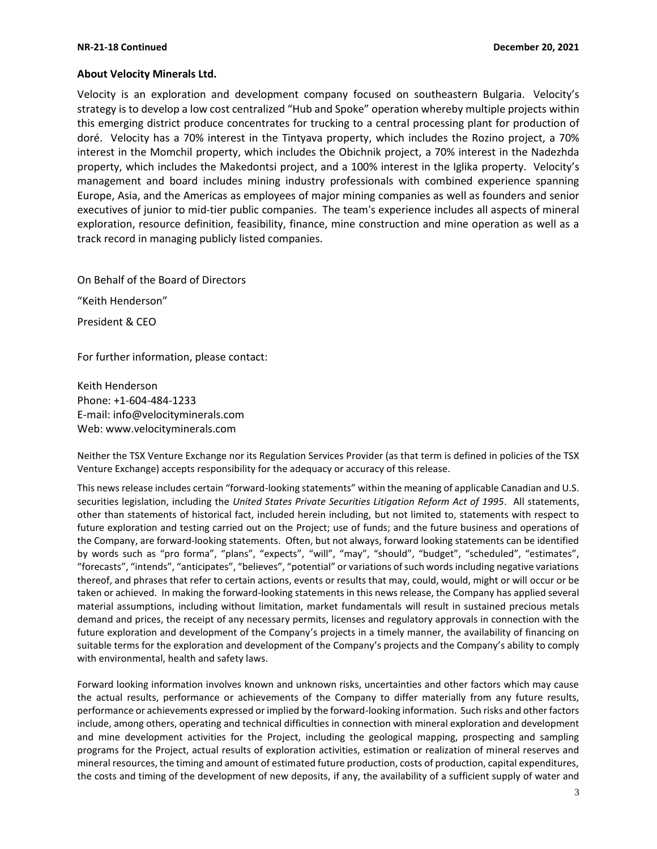#### **About Velocity Minerals Ltd.**

Velocity is an exploration and development company focused on southeastern Bulgaria. Velocity's strategy is to develop a low cost centralized "Hub and Spoke" operation whereby multiple projects within this emerging district produce concentrates for trucking to a central processing plant for production of doré. Velocity has a 70% interest in the Tintyava property, which includes the Rozino project, a 70% interest in the Momchil property, which includes the Obichnik project, a 70% interest in the Nadezhda property, which includes the Makedontsi project, and a 100% interest in the Iglika property. Velocity's management and board includes mining industry professionals with combined experience spanning Europe, Asia, and the Americas as employees of major mining companies as well as founders and senior executives of junior to mid-tier public companies. The team's experience includes all aspects of mineral exploration, resource definition, feasibility, finance, mine construction and mine operation as well as a track record in managing publicly listed companies.

On Behalf of the Board of Directors

"Keith Henderson"

President & CEO

For further information, please contact:

Keith Henderson Phone: +1-604-484-1233 E-mail: [info@velocityminerals.com](mailto:info@velocityminerals.com) Web: [www.velocityminerals.com](http://www.velocityminerals.com/)

Neither the TSX Venture Exchange nor its Regulation Services Provider (as that term is defined in policies of the TSX Venture Exchange) accepts responsibility for the adequacy or accuracy of this release.

This news release includes certain "forward-looking statements" within the meaning of applicable Canadian and U.S. securities legislation, including the *United States Private Securities Litigation Reform Act of 1995*. All statements, other than statements of historical fact, included herein including, but not limited to, statements with respect to future exploration and testing carried out on the Project; use of funds; and the future business and operations of the Company, are forward-looking statements. Often, but not always, forward looking statements can be identified by words such as "pro forma", "plans", "expects", "will", "may", "should", "budget", "scheduled", "estimates", "forecasts", "intends", "anticipates", "believes", "potential" or variations of such words including negative variations thereof, and phrases that refer to certain actions, events or results that may, could, would, might or will occur or be taken or achieved. In making the forward-looking statements in this news release, the Company has applied several material assumptions, including without limitation, market fundamentals will result in sustained precious metals demand and prices, the receipt of any necessary permits, licenses and regulatory approvals in connection with the future exploration and development of the Company's projects in a timely manner, the availability of financing on suitable terms for the exploration and development of the Company's projects and the Company's ability to comply with environmental, health and safety laws.

Forward looking information involves known and unknown risks, uncertainties and other factors which may cause the actual results, performance or achievements of the Company to differ materially from any future results, performance or achievements expressed or implied by the forward-looking information. Such risks and other factors include, among others, operating and technical difficulties in connection with mineral exploration and development and mine development activities for the Project, including the geological mapping, prospecting and sampling programs for the Project, actual results of exploration activities, estimation or realization of mineral reserves and mineral resources, the timing and amount of estimated future production, costs of production, capital expenditures, the costs and timing of the development of new deposits, if any, the availability of a sufficient supply of water and